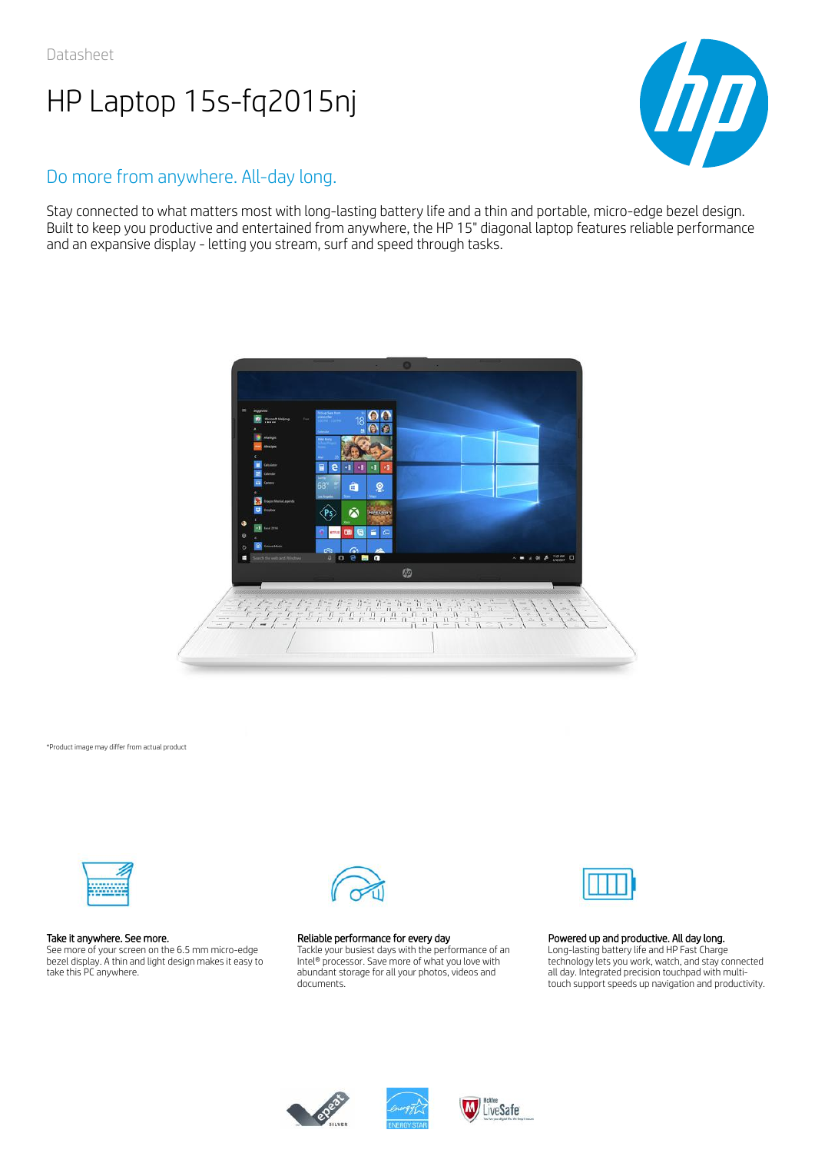

# Do more from anywhere. All-day long.

Stay connected to what matters most with long-lasting battery life and a thin and portable, micro-edge bezel design. Built to keep you productive and entertained from anywhere, the HP 15" diagonal laptop features reliable performance and an expansive display - letting you stream, surf and speed through tasks.



\*Product image may differ from actual product



## Take it anywhere. See more.

See more of your screen on the 6.5 mm micro-edge bezel display. A thin and light design makes it easy to take this PC anywhere.



## Reliable performance for every day

Tackle your busiest days with the performance of an Intel® processor. Save more of what you love with abundant storage for all your photos, videos and documents.



## Powered up and productive. All day long.

Long-lasting battery life and HP Fast Charge technology lets you work, watch, and stay connected all day. Integrated precision touchpad with multitouch support speeds up navigation and productivity.





LiveSafe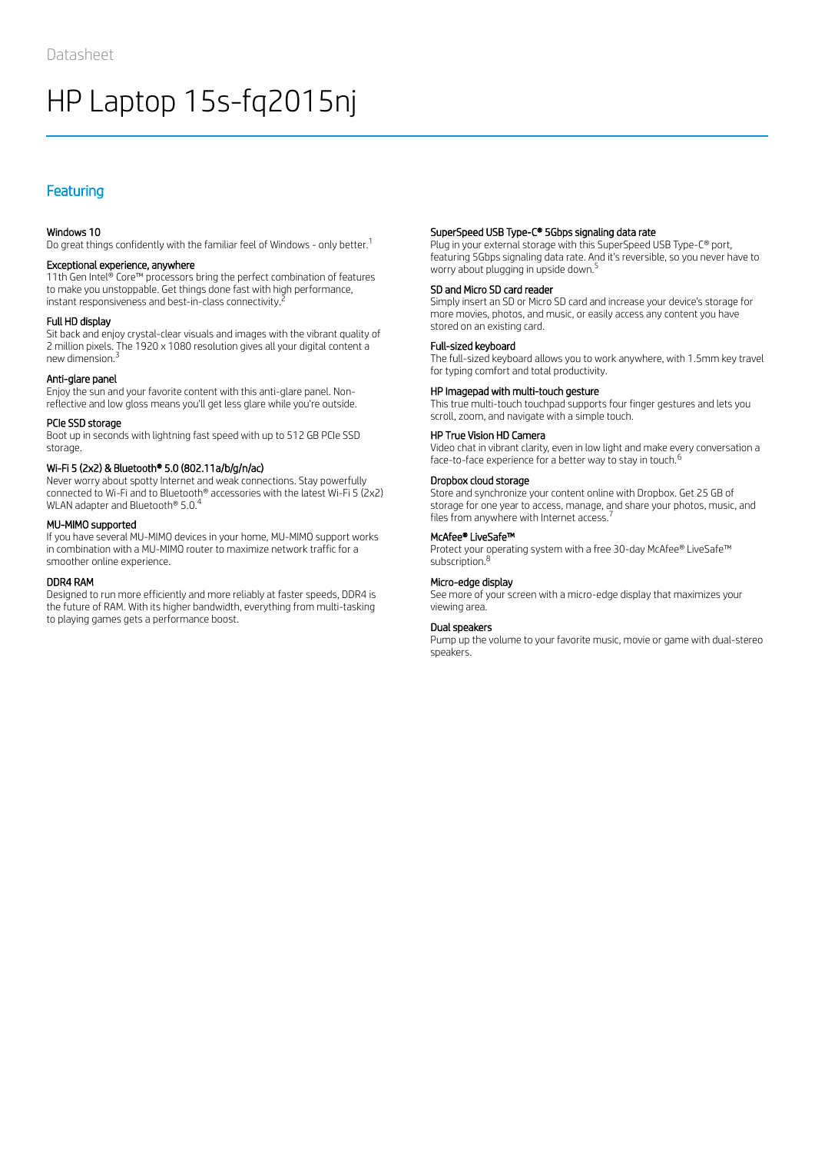# Featuring

## Windows 10

Do great things confidently with the familiar feel of Windows - only better.<sup>1</sup>

## Exceptional experience, anywhere

11th Gen Intel® Core™ processors bring the perfect combination of features to make you unstoppable. Get things done fast with high performance, instant responsiveness and best-in-class connectivity.  $^{\bar{z}}$ 

## Full HD display

Sit back and enjoy crystal-clear visuals and images with the vibrant quality of 2 million pixels. The 1920 x 1080 resolution gives all your digital content a new dimension. 3

## Anti-glare panel

Enjoy the sun and your favorite content with this anti-glare panel. Nonreflective and low gloss means you'll get less glare while you're outside.

## PCIe SSD storage

Boot up in seconds with lightning fast speed with up to 512 GB PCIe SSD storage.

## Wi-Fi 5 (2x2) & Bluetooth® 5.0 (802.11a/b/g/n/ac)

Never worry about spotty Internet and weak connections. Stay powerfully connected to Wi-Fi and to Bluetooth® accessories with the latest Wi-Fi 5 (2x2) WLAN adapter and Bluetooth® 5.0.<sup>4</sup>

## MU-MIMO supported

If you have several MU-MIMO devices in your home, MU-MIMO support works in combination with a MU-MIMO router to maximize network traffic for a smoother online experience.

#### DDR4 RAM

Designed to run more efficiently and more reliably at faster speeds, DDR4 is the future of RAM. With its higher bandwidth, everything from multi-tasking to playing games gets a performance boost.

## SuperSpeed USB Type-C® 5Gbps signaling data rate

Plug in your external storage with this SuperSpeed USB Type-C® port, featuring 5Gbps signaling data rate. And it's reversible, so you never have to worry about plugging in upside down. 5

## SD and Micro SD card reader

Simply insert an SD or Micro SD card and increase your device's storage for more movies, photos, and music, or easily access any content you have stored on an existing card.

## Full-sized keyboard

The full-sized keyboard allows you to work anywhere, with 1.5mm key travel for typing comfort and total productivity.

### HP Imagepad with multi-touch gesture

This true multi-touch touchpad supports four finger gestures and lets you scroll, zoom, and navigate with a simple touch.

## HP True Vision HD Camera

Video chat in vibrant clarity, even in low light and make every conversation a face-to-face experience for a better way to stay in touch.<sup>6</sup>

## Dropbox cloud storage

Store and synchronize your content online with Dropbox. Get 25 GB of storage for one year to access, manage, and share your photos, music, and files from anywhere with Internet access.<sup>7</sup>

## McAfee® LiveSafe™

Protect your operating system with a free 30-day McAfee® LiveSafe™ subscription.<sup>8</sup>

## Micro-edge display

See more of your screen with a micro-edge display that maximizes your viewing area.

## Dual speakers

Pump up the volume to your favorite music, movie or game with dual-stereo speakers.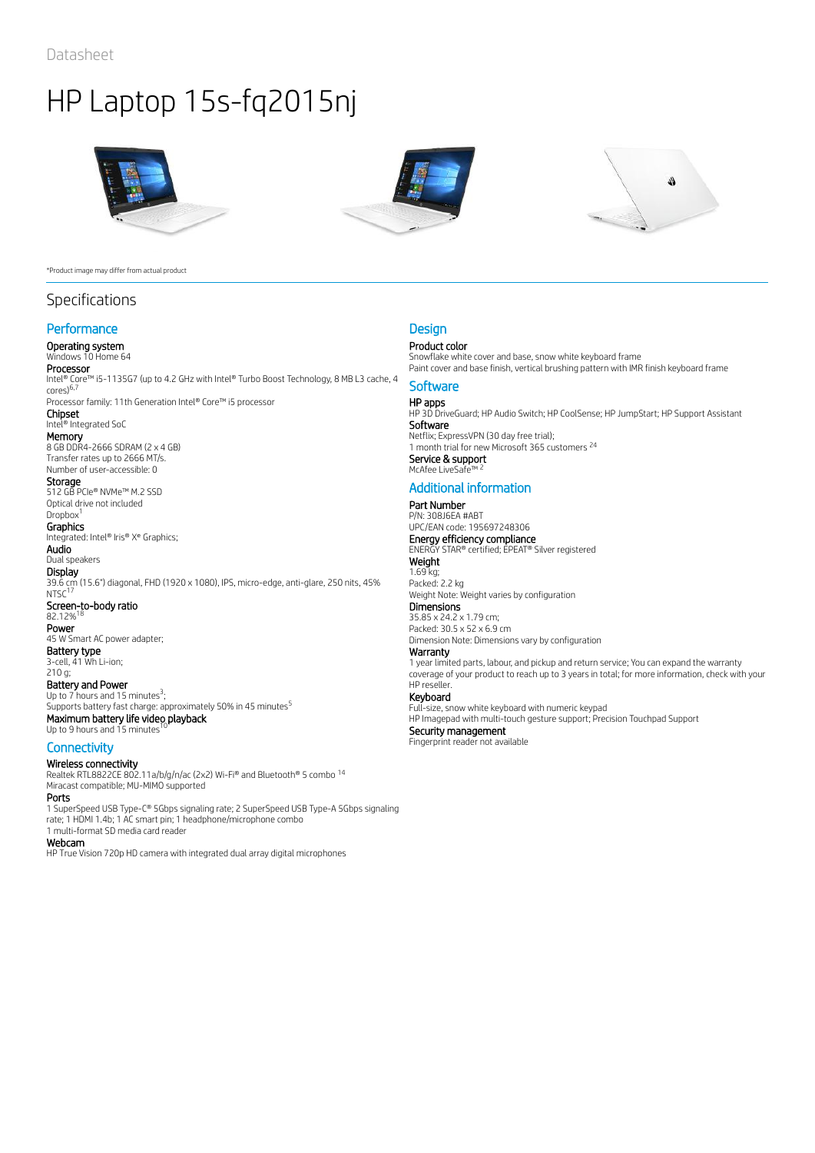

#### \*Product image may differ from actual product

# Specifications

## **Performance**

## Operating system

# Windows 10 Home 64

**Processor**<br>Intel® Core™ i5-1135G7 (up to 4.2 GHz with Intel® Turbo Boost Technology, 8 MB L3 cache, 4 cores) 6,7

Processor family: 11th Generation Intel® Core™ i5 processor Chipset

## Intel® Integrated SoC

**Memory**<br>8 GB DDR4-2666 SDRAM (2 x 4 GB)

Transfer rates up to 2666 MT/s. Number of user-accessible: 0 **Storage** 

512 GB PCIe® NVMe™ M.2 SSD Optical drive not included

# Dropbox<sup>1</sup>

**Graphics** Integrated: Intel® Iris® X<sup>e</sup> Graphics;

Audio Dual speakers **Display** 39.6 cm (15.6") diagonal, FHD (1920 x 1080), IPS, micro-edge, anti-glare, 250 nits, 45%  $NTSC<sup>17</sup>$ Screen-to-body ratio<br>82.12%<sup>18</sup> 82.12% Power 45 W Smart AC power adapter; Battery type 3-cell, 41 Wh Li-ion; 210 g;

Battery and Power Up to  $7$  hours and 15 minutes<sup>3</sup>; Supports battery fast charge: approximately 50% in 45 minutes<sup>5</sup> Maximum battery life video playback<br>Un to 9 hours and 15 minutes <sup>10</sup> Up to 9 hours and 15 minutes

## **Connectivity**

Wireless connectivity Realtek RTL8822CE 802.11a/b/g/n/ac (2x2) Wi-Fi® and Bluetooth® 5 combo 14 Miracast compatible; MU-MIMO supported

#### Ports

1 SuperSpeed USB Type-C® 5Gbps signaling rate; 2 SuperSpeed USB Type-A 5Gbps signaling rate; 1 HDMI 1.4b; 1 AC smart pin; 1 headphone/microphone combo 1 multi-format SD media card reader

#### Webcam

HP True Vision 720p HD camera with integrated dual array digital microphones





## **Design**

## Product color

Snowflake white cover and base, snow white keyboard frame Paint cover and base finish, vertical brushing pattern with IMR finish keyboard frame

## **Software**

**HP apps**<br>HP 3D DriveGuard; HP Audio Switch; HP CoolSense; HP JumpStart; HP Support Assistant Software Netflix; ExpressVPN (30 day free trial); 1 month trial for new Microsoft 365 customers<sup>24</sup> **Service & support<br>McAfee LiveSafe™ <sup>2</sup>** McAfee LiveSa

# Additional information

#### Part Number P/N: 308J6EA #ABT

UPC/EAN code: 195697248306 **Energy efficiency compliance**<br>ENERGY STAR® certified; EPEAT® Silver registered **Weight** 1.69 kg;

Packed: 2.2 kg Weight Note: Weight varies by configuration

# **Dimensions**

35.85 x 24.2 x 1.79 cm; Packed: 30.5 x 52 x 6.9 cm Dimension Note: Dimensions vary by configuration

## Warranty

1 year limited parts, labour, and pickup and return service; You can expand the warranty coverage of your product to reach up to 3 years in total; for more information, check with your HP reseller.

# Keyboard

Full-size, snow white keyboard with numeric keypad HP Imagepad with multi-touch gesture support; Precision Touchpad Support

Security management Fingerprint reader not available